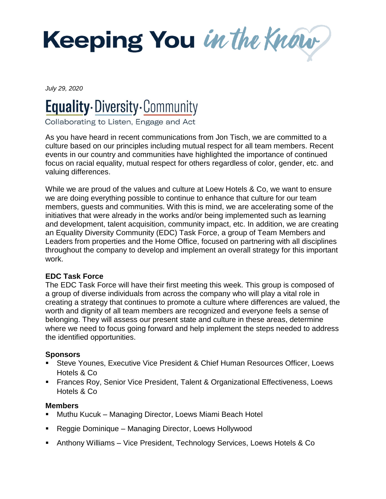

*July 29, 2020*

# **Equality** Diversity Community

Collaborating to Listen, Engage and Act

As you have heard in recent communications from Jon Tisch, we are committed to a culture based on our principles including mutual respect for all team members. Recent events in our country and communities have highlighted the importance of continued focus on racial equality, mutual respect for others regardless of color, gender, etc. and valuing differences.

While we are proud of the values and culture at Loew Hotels & Co, we want to ensure we are doing everything possible to continue to enhance that culture for our team members, guests and communities. With this is mind, we are accelerating some of the initiatives that were already in the works and/or being implemented such as learning and development, talent acquisition, community impact, etc. In addition, we are creating an Equality Diversity Community (EDC) Task Force, a group of Team Members and Leaders from properties and the Home Office, focused on partnering with all disciplines throughout the company to develop and implement an overall strategy for this important work.

## **EDC Task Force**

The EDC Task Force will have their first meeting this week. This group is composed of a group of diverse individuals from across the company who will play a vital role in creating a strategy that continues to promote a culture where differences are valued, the worth and dignity of all team members are recognized and everyone feels a sense of belonging. They will assess our present state and culture in these areas, determine where we need to focus going forward and help implement the steps needed to address the identified opportunities.

## **Sponsors**

- Steve Younes, Executive Vice President & Chief Human Resources Officer, Loews Hotels & Co
- **Frances Roy, Senior Vice President, Talent & Organizational Effectiveness, Loews** Hotels & Co

## **Members**

- Muthu Kucuk Managing Director, Loews Miami Beach Hotel
- Reggie Dominique Managing Director, Loews Hollywood
- Anthony Williams Vice President, Technology Services, Loews Hotels & Co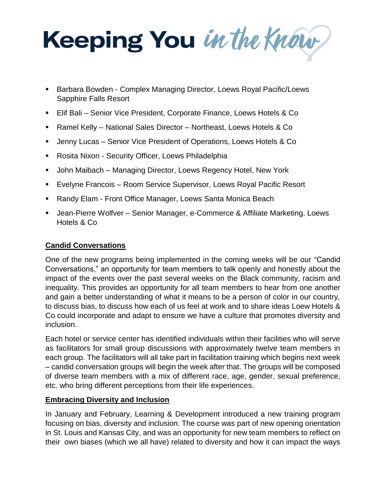Keeping You in the Know

- Barbara Bowden Complex Managing Director, Loews Royal Pacific/Loews Sapphire Falls Resort
- Elif Bali Senior Vice President, Corporate Finance, Loews Hotels & Co
- Ramel Kelly National Sales Director Northeast, Loews Hotels & Co
- Jenny Lucas Senior Vice President of Operations, Loews Hotels & Co
- **Rosita Nixon Security Officer, Loews Philadelphia**
- John Maibach Managing Director, Loews Regency Hotel, New York
- Evelyne Francois Room Service Supervisor, Loews Royal Pacific Resort
- Randy Elam Front Office Manager, Loews Santa Monica Beach
- Jean-Pierre Wolfver Senior Manager, e-Commerce & Affiliate Marketing, Loews Hotels & Co

## **Candid Conversations**

One of the new programs being implemented in the coming weeks will be our "Candid Conversations," an opportunity for team members to talk openly and honestly about the impact of the events over the past several weeks on the Black community, racism and inequality. This provides an opportunity for all team members to hear from one another and gain a better understanding of what it means to be a person of color in our country, to discuss bias, to discuss how each of us feel at work and to share ideas Loew Hotels & Co could incorporate and adapt to ensure we have a culture that promotes diversity and inclusion.

Each hotel or service center has identified individuals within their facilities who will serve as facilitators for small group discussions with approximately twelve team members in each group. The facilitators will all take part in facilitation training which begins next week – candid conversation groups will begin the week after that. The groups will be composed of diverse team members with a mix of different race, age, gender, sexual preference, etc. who bring different perceptions from their life experiences.

## **Embracing Diversity and Inclusion**

In January and February, Learning & Development introduced a new training program focusing on bias, diversity and inclusion. The course was part of new opening orientation in St. Louis and Kansas City, and was an opportunity for new team members to reflect on their own biases (which we all have) related to diversity and how it can impact the ways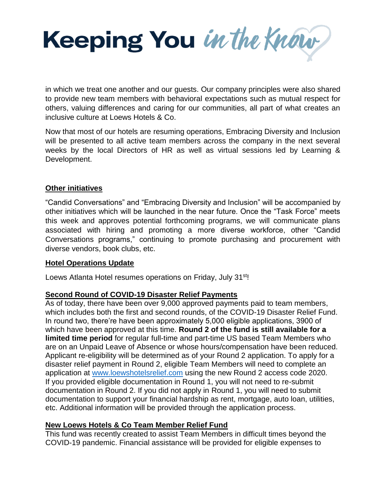Keeping You in the Know

in which we treat one another and our guests. Our company principles were also shared to provide new team members with behavioral expectations such as mutual respect for others, valuing differences and caring for our communities, all part of what creates an inclusive culture at Loews Hotels & Co.

Now that most of our hotels are resuming operations, Embracing Diversity and Inclusion will be presented to all active team members across the company in the next several weeks by the local Directors of HR as well as virtual sessions led by Learning & Development.

### **Other initiatives**

"Candid Conversations" and "Embracing Diversity and Inclusion" will be accompanied by other initiatives which will be launched in the near future. Once the "Task Force" meets this week and approves potential forthcoming programs, we will communicate plans associated with hiring and promoting a more diverse workforce, other "Candid Conversations programs," continuing to promote purchasing and procurement with diverse vendors, book clubs, etc.

## **Hotel Operations Update**

Loews Atlanta Hotel resumes operations on Friday, July 31<sup>st</sup>!

## **Second Round of COVID-19 Disaster Relief Payments**

As of today, there have been over 9,000 approved payments paid to team members, which includes both the first and second rounds, of the COVID-19 Disaster Relief Fund. In round two, there're have been approximately 5,000 eligible applications, 3900 of which have been approved at this time. **Round 2 of the fund is still available for a limited time period** for regular full-time and part-time US based Team Members who are on an Unpaid Leave of Absence or whose hours/compensation have been reduced. Applicant re-eligibility will be determined as of your Round 2 application. To apply for a disaster relief payment in Round 2, eligible Team Members will need to complete an application at [www.loewshotelsrelief.com](http://www.loewshotelsrelief.com/) using the new Round 2 access code 2020. If you provided eligible documentation in Round 1, you will not need to re-submit documentation in Round 2. If you did not apply in Round 1, you will need to submit documentation to support your financial hardship as rent, mortgage, auto loan, utilities, etc. Additional information will be provided through the application process.

## **New Loews Hotels & Co Team Member Relief Fund**

This fund was recently created to assist Team Members in difficult times beyond the COVID-19 pandemic. Financial assistance will be provided for eligible expenses to